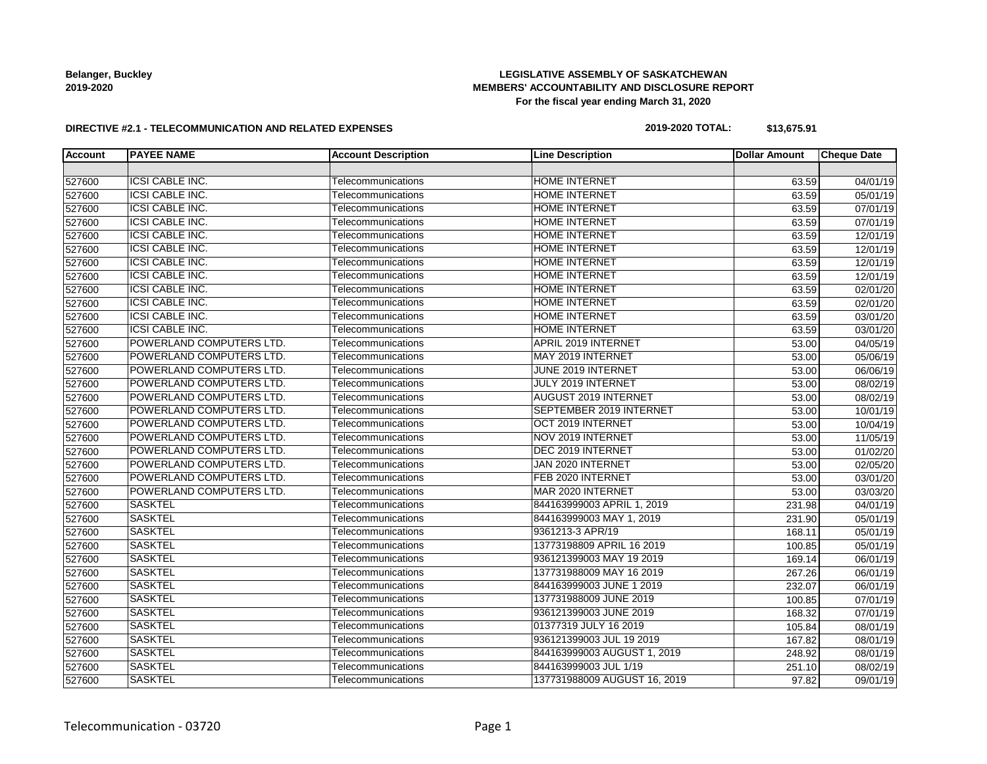# **LEGISLATIVE ASSEMBLY OF SASKATCHEWAN MEMBERS' ACCOUNTABILITY AND DISCLOSURE REPORT For the fiscal year ending March 31, 2020**

#### **DIRECTIVE #2.1 - TELECOMMUNICATION AND RELATED EXPENSES**

### **2019-2020 TOTAL: \$13,675.91**

| <b>Account</b> | <b>PAYEE NAME</b>        | <b>Account Description</b> | <b>Line Description</b>      | <b>Dollar Amount</b> | <b>Cheque Date</b>    |
|----------------|--------------------------|----------------------------|------------------------------|----------------------|-----------------------|
|                |                          |                            |                              |                      |                       |
| 527600         | <b>ICSI CABLE INC.</b>   | Telecommunications         | <b>HOME INTERNET</b>         | 63.59                | 04/01/19              |
| 527600         | <b>ICSI CABLE INC.</b>   | Telecommunications         | <b>HOME INTERNET</b>         | 63.59                | $\overline{05/01/19}$ |
| 527600         | <b>ICSI CABLE INC.</b>   | Telecommunications         | <b>HOME INTERNET</b>         | 63.59                | 07/01/19              |
| 527600         | <b>ICSI CABLE INC.</b>   | Telecommunications         | <b>HOME INTERNET</b>         | 63.59                | 07/01/19              |
| 527600         | <b>ICSI CABLE INC.</b>   | Telecommunications         | <b>HOME INTERNET</b>         | 63.59                | 12/01/19              |
| 527600         | <b>ICSI CABLE INC.</b>   | Telecommunications         | <b>HOME INTERNET</b>         | 63.59                | 12/01/19              |
| 527600         | <b>ICSI CABLE INC.</b>   | Telecommunications         | <b>HOME INTERNET</b>         | 63.59                | 12/01/19              |
| 527600         | <b>ICSI CABLE INC.</b>   | Telecommunications         | <b>HOME INTERNET</b>         | 63.59                | 12/01/19              |
| 527600         | <b>ICSI CABLE INC.</b>   | Telecommunications         | <b>HOME INTERNET</b>         | 63.59                | 02/01/20              |
| 527600         | <b>ICSI CABLE INC.</b>   | Telecommunications         | <b>HOME INTERNET</b>         | 63.59                | 02/01/20              |
| 527600         | <b>ICSI CABLE INC.</b>   | Telecommunications         | <b>HOME INTERNET</b>         | 63.59                | 03/01/20              |
| 527600         | <b>ICSI CABLE INC.</b>   | Telecommunications         | <b>HOME INTERNET</b>         | 63.59                | 03/01/20              |
| 527600         | POWERLAND COMPUTERS LTD. | Telecommunications         | APRIL 2019 INTERNET          | 53.00                | 04/05/19              |
| 527600         | POWERLAND COMPUTERS LTD. | Telecommunications         | MAY 2019 INTERNET            | 53.00                | 05/06/19              |
| 527600         | POWERLAND COMPUTERS LTD. | Telecommunications         | JUNE 2019 INTERNET           | 53.00                | 06/06/19              |
| 527600         | POWERLAND COMPUTERS LTD. | Telecommunications         | JULY 2019 INTERNET           | 53.00                | 08/02/19              |
| 527600         | POWERLAND COMPUTERS LTD. | Telecommunications         | <b>AUGUST 2019 INTERNET</b>  | 53.00                | 08/02/19              |
| 527600         | POWERLAND COMPUTERS LTD. | Telecommunications         | SEPTEMBER 2019 INTERNET      | 53.00                | 10/01/19              |
| 527600         | POWERLAND COMPUTERS LTD. | Telecommunications         | OCT 2019 INTERNET            | 53.00                | 10/04/19              |
| 527600         | POWERLAND COMPUTERS LTD. | Telecommunications         | NOV 2019 INTERNET            | 53.00                | 11/05/19              |
| 527600         | POWERLAND COMPUTERS LTD. | Telecommunications         | DEC 2019 INTERNET            | 53.00                | 01/02/20              |
| 527600         | POWERLAND COMPUTERS LTD. | Telecommunications         | JAN 2020 INTERNET            | 53.00                | 02/05/20              |
| 527600         | POWERLAND COMPUTERS LTD. | Telecommunications         | FEB 2020 INTERNET            | 53.00                | 03/01/20              |
| 527600         | POWERLAND COMPUTERS LTD. | Telecommunications         | MAR 2020 INTERNET            | 53.00                | 03/03/20              |
| 527600         | <b>SASKTEL</b>           | Telecommunications         | 844163999003 APRIL 1, 2019   | 231.98               | 04/01/19              |
| 527600         | <b>SASKTEL</b>           | Telecommunications         | 844163999003 MAY 1, 2019     | 231.90               | 05/01/19              |
| 527600         | <b>SASKTEL</b>           | Telecommunications         | 9361213-3 APR/19             | 168.11               | 05/01/19              |
| 527600         | <b>SASKTEL</b>           | Telecommunications         | 13773198809 APRIL 16 2019    | 100.85               | 05/01/19              |
| 527600         | <b>SASKTEL</b>           | Telecommunications         | 936121399003 MAY 19 2019     | 169.14               | 06/01/19              |
| 527600         | <b>SASKTEL</b>           | Telecommunications         | 137731988009 MAY 16 2019     | 267.26               | 06/01/19              |
| 527600         | <b>SASKTEL</b>           | Telecommunications         | 844163999003 JUNE 1 2019     | 232.07               | 06/01/19              |
| 527600         | <b>SASKTEL</b>           | Telecommunications         | 137731988009 JUNE 2019       | 100.85               | 07/01/19              |
| 527600         | <b>SASKTEL</b>           | Telecommunications         | 936121399003 JUNE 2019       | 168.32               | 07/01/19              |
| 527600         | <b>SASKTEL</b>           | Telecommunications         | 01377319 JULY 16 2019        | 105.84               | 08/01/19              |
| 527600         | <b>SASKTEL</b>           | Telecommunications         | 936121399003 JUL 19 2019     | 167.82               | 08/01/19              |
| 527600         | <b>SASKTEL</b>           | Telecommunications         | 844163999003 AUGUST 1, 2019  | 248.92               | 08/01/19              |
| 527600         | <b>SASKTEL</b>           | Telecommunications         | 844163999003 JUL 1/19        | 251.10               | 08/02/19              |
| 527600         | <b>SASKTEL</b>           | Telecommunications         | 137731988009 AUGUST 16, 2019 | 97.82                | 09/01/19              |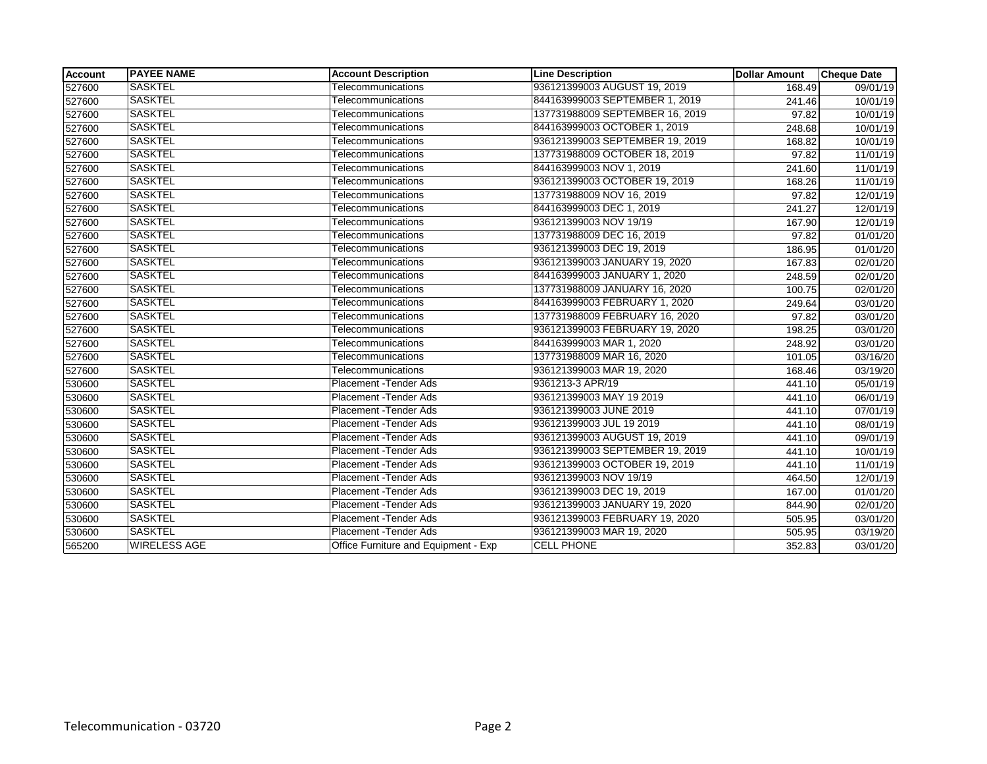| <b>Account</b> | <b>PAYEE NAME</b>   | <b>Account Description</b>           | <b>Line Description</b>         | <b>Dollar Amount</b> | <b>Cheque Date</b>    |
|----------------|---------------------|--------------------------------------|---------------------------------|----------------------|-----------------------|
| 527600         | <b>SASKTEL</b>      | Telecommunications                   | 936121399003 AUGUST 19, 2019    | 168.49               | 09/01/19              |
| 527600         | <b>SASKTEL</b>      | Telecommunications                   | 844163999003 SEPTEMBER 1, 2019  | 241.46               | 10/01/19              |
| 527600         | <b>SASKTEL</b>      | Telecommunications                   | 137731988009 SEPTEMBER 16, 2019 | 97.82                | 10/01/19              |
| 527600         | <b>SASKTEL</b>      | Telecommunications                   | 844163999003 OCTOBER 1, 2019    | 248.68               | 10/01/19              |
| 527600         | <b>SASKTEL</b>      | Telecommunications                   | 936121399003 SEPTEMBER 19, 2019 | 168.82               | 10/01/19              |
| 527600         | <b>SASKTEL</b>      | Telecommunications                   | 137731988009 OCTOBER 18, 2019   | 97.82                | 11/01/19              |
| 527600         | SASKTEL             | Telecommunications                   | 844163999003 NOV 1, 2019        | 241.60               | 11/01/19              |
| 527600         | <b>SASKTEL</b>      | Telecommunications                   | 936121399003 OCTOBER 19, 2019   | 168.26               | 11/01/19              |
| 527600         | <b>SASKTEL</b>      | Telecommunications                   | 137731988009 NOV 16, 2019       | 97.82                | 12/01/19              |
| 527600         | <b>SASKTEL</b>      | Telecommunications                   | 844163999003 DEC 1, 2019        | 241.27               | 12/01/19              |
| 527600         | <b>SASKTEL</b>      | Telecommunications                   | 936121399003 NOV 19/19          | 167.90               | 12/01/19              |
| 527600         | <b>SASKTEL</b>      | Telecommunications                   | 137731988009 DEC 16, 2019       | 97.82                | 01/01/20              |
| 527600         | <b>SASKTEL</b>      | Telecommunications                   | 936121399003 DEC 19, 2019       | 186.95               | 01/01/20              |
| 527600         | <b>SASKTEL</b>      | Telecommunications                   | 936121399003 JANUARY 19, 2020   | 167.83               | 02/01/20              |
| 527600         | <b>SASKTEL</b>      | Telecommunications                   | 844163999003 JANUARY 1, 2020    | 248.59               | 02/01/20              |
| 527600         | SASKTEL             | Telecommunications                   | 137731988009 JANUARY 16, 2020   | 100.75               | 02/01/20              |
| 527600         | <b>SASKTEL</b>      | Telecommunications                   | 844163999003 FEBRUARY 1, 2020   | 249.64               | 03/01/20              |
| 527600         | <b>SASKTEL</b>      | Telecommunications                   | 137731988009 FEBRUARY 16, 2020  | 97.82                | 03/01/20              |
| 527600         | <b>SASKTEL</b>      | Telecommunications                   | 936121399003 FEBRUARY 19, 2020  | 198.25               | 03/01/20              |
| 527600         | <b>SASKTEL</b>      | Telecommunications                   | 844163999003 MAR 1, 2020        | 248.92               | 03/01/20              |
| 527600         | <b>SASKTEL</b>      | Telecommunications                   | 137731988009 MAR 16, 2020       | 101.05               | 03/16/20              |
| 527600         | <b>SASKTEL</b>      | Telecommunications                   | 936121399003 MAR 19, 2020       | 168.46               | 03/19/20              |
| 530600         | <b>SASKTEL</b>      | Placement - Tender Ads               | 9361213-3 APR/19                | 441.10               | 05/01/19              |
| 530600         | <b>SASKTEL</b>      | Placement - Tender Ads               | 936121399003 MAY 19 2019        | 441.10               | 06/01/19              |
| 530600         | <b>SASKTEL</b>      | Placement - Tender Ads               | 936121399003 JUNE 2019          | 441.10               | 07/01/19              |
| 530600         | <b>SASKTEL</b>      | Placement - Tender Ads               | 936121399003 JUL 19 2019        | 441.10               | 08/01/19              |
| 530600         | <b>SASKTEL</b>      | <b>Placement - Tender Ads</b>        | 936121399003 AUGUST 19, 2019    | 441.10               | 09/01/19              |
| 530600         | <b>SASKTEL</b>      | Placement - Tender Ads               | 936121399003 SEPTEMBER 19, 2019 | 441.10               | 10/01/19              |
| 530600         | <b>SASKTEL</b>      | <b>Placement - Tender Ads</b>        | 936121399003 OCTOBER 19, 2019   | 441.10               | 11/01/19              |
| 530600         | <b>SASKTEL</b>      | Placement - Tender Ads               | 936121399003 NOV 19/19          | 464.50               | 12/01/19              |
| 530600         | <b>SASKTEL</b>      | Placement - Tender Ads               | 936121399003 DEC 19, 2019       | 167.00               | 01/01/20              |
| 530600         | SASKTEL             | Placement - Tender Ads               | 936121399003 JANUARY 19, 2020   | 844.90               | $\overline{02/0}1/20$ |
| 530600         | <b>SASKTEL</b>      | Placement - Tender Ads               | 936121399003 FEBRUARY 19, 2020  | 505.95               | 03/01/20              |
| 530600         | <b>SASKTEL</b>      | Placement - Tender Ads               | 936121399003 MAR 19, 2020       | 505.95               | 03/19/20              |
| 565200         | <b>WIRELESS AGE</b> | Office Furniture and Equipment - Exp | <b>CELL PHONE</b>               | 352.83               | 03/01/20              |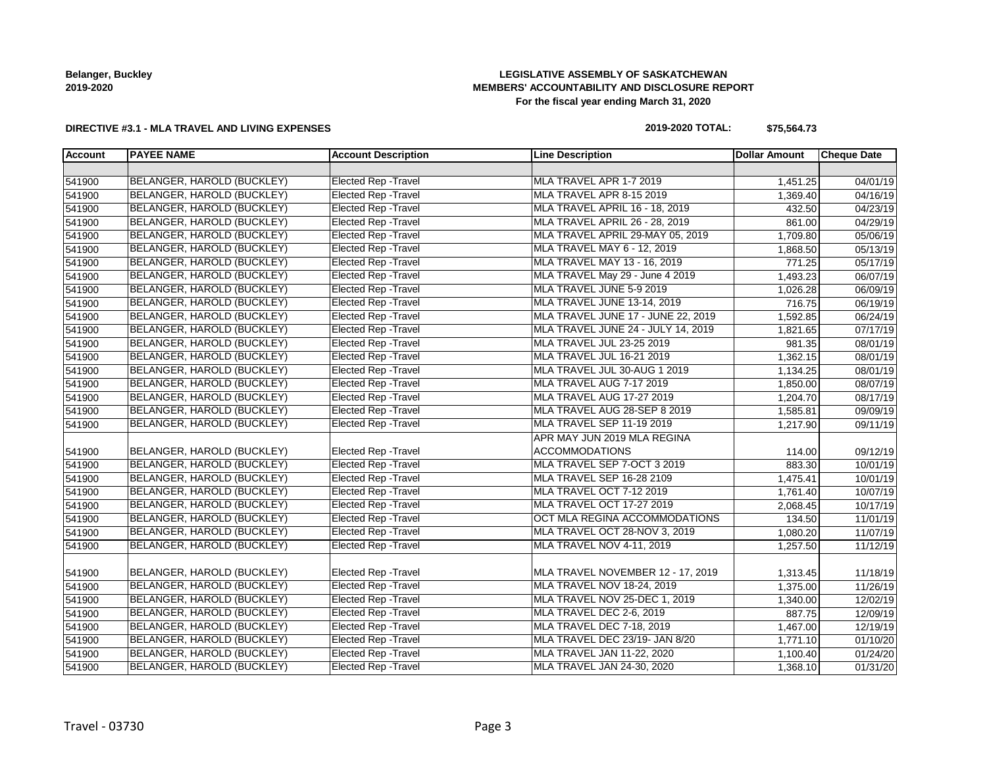# **LEGISLATIVE ASSEMBLY OF SASKATCHEWAN MEMBERS' ACCOUNTABILITY AND DISCLOSURE REPORT For the fiscal year ending March 31, 2020**

### **DIRECTIVE #3.1 - MLA TRAVEL AND LIVING EXPENSES**

# **2019-2020 TOTAL: \$75,564.73**

| <b>Account</b> | <b>PAYEE NAME</b>                 | <b>Account Description</b>  | <b>Line Description</b>            | <b>Dollar Amount</b> | <b>Cheque Date</b>    |
|----------------|-----------------------------------|-----------------------------|------------------------------------|----------------------|-----------------------|
|                |                                   |                             |                                    |                      |                       |
| 541900         | BELANGER, HAROLD (BUCKLEY)        | <b>Elected Rep - Travel</b> | MLA TRAVEL APR 1-7 2019            | 1,451.25             | 04/01/19              |
| 541900         | BELANGER, HAROLD (BUCKLEY)        | <b>Elected Rep - Travel</b> | MLA TRAVEL APR 8-15 2019           | 1,369.40             | 04/16/19              |
| 541900         | BELANGER, HAROLD (BUCKLEY)        | Elected Rep - Travel        | MLA TRAVEL APRIL 16 - 18, 2019     | 432.50               | $\overline{04/23/19}$ |
| 541900         | <b>BELANGER, HAROLD (BUCKLEY)</b> | <b>Elected Rep - Travel</b> | MLA TRAVEL APRIL 26 - 28, 2019     | 861.00               | 04/29/19              |
| 541900         | BELANGER, HAROLD (BUCKLEY)        | <b>Elected Rep - Travel</b> | MLA TRAVEL APRIL 29-MAY 05, 2019   | 1,709.80             | 05/06/19              |
| 541900         | BELANGER, HAROLD (BUCKLEY)        | <b>Elected Rep - Travel</b> | MLA TRAVEL MAY 6 - 12, 2019        | 1,868.50             | 05/13/19              |
| 541900         | BELANGER, HAROLD (BUCKLEY)        | <b>Elected Rep - Travel</b> | MLA TRAVEL MAY 13 - 16, 2019       | 771.25               | $\overline{05/17/19}$ |
| 541900         | BELANGER, HAROLD (BUCKLEY)        | <b>Elected Rep - Travel</b> | MLA TRAVEL May 29 - June 4 2019    | 1,493.23             | 06/07/19              |
| 541900         | BELANGER, HAROLD (BUCKLEY)        | Elected Rep - Travel        | MLA TRAVEL JUNE 5-9 2019           | 1,026.28             | 06/09/19              |
| 541900         | BELANGER, HAROLD (BUCKLEY)        | <b>Elected Rep - Travel</b> | MLA TRAVEL JUNE 13-14, 2019        | 716.75               | 06/19/19              |
| 541900         | BELANGER, HAROLD (BUCKLEY)        | <b>Elected Rep - Travel</b> | MLA TRAVEL JUNE 17 - JUNE 22, 2019 | 1,592.85             | 06/24/19              |
| 541900         | BELANGER, HAROLD (BUCKLEY)        | <b>Elected Rep - Travel</b> | MLA TRAVEL JUNE 24 - JULY 14, 2019 | 1,821.65             | 07/17/19              |
| 541900         | BELANGER, HAROLD (BUCKLEY)        | <b>Elected Rep - Travel</b> | MLA TRAVEL JUL 23-25 2019          | 981.35               | 08/01/19              |
| 541900         | BELANGER, HAROLD (BUCKLEY)        | Elected Rep - Travel        | MLA TRAVEL JUL 16-21 2019          | 1,362.15             | 08/01/19              |
| 541900         | BELANGER, HAROLD (BUCKLEY)        | <b>Elected Rep - Travel</b> | MLA TRAVEL JUL 30-AUG 1 2019       | 1,134.25             | 08/01/19              |
| 541900         | BELANGER, HAROLD (BUCKLEY)        | <b>Elected Rep - Travel</b> | MLA TRAVEL AUG 7-17 2019           | 1,850.00             | 08/07/19              |
| 541900         | BELANGER, HAROLD (BUCKLEY)        | <b>Elected Rep - Travel</b> | MLA TRAVEL AUG 17-27 2019          | 1,204.70             | 08/17/19              |
| 541900         | BELANGER, HAROLD (BUCKLEY)        | <b>Elected Rep - Travel</b> | MLA TRAVEL AUG 28-SEP 8 2019       | 1,585.81             | 09/09/19              |
| 541900         | BELANGER, HAROLD (BUCKLEY)        | Elected Rep - Travel        | MLA TRAVEL SEP 11-19 2019          | 1,217.90             | 09/11/19              |
|                |                                   |                             | APR MAY JUN 2019 MLA REGINA        |                      |                       |
| 541900         | BELANGER, HAROLD (BUCKLEY)        | <b>Elected Rep - Travel</b> | <b>ACCOMMODATIONS</b>              | 114.00               | 09/12/19              |
| 541900         | BELANGER, HAROLD (BUCKLEY)        | <b>Elected Rep - Travel</b> | MLA TRAVEL SEP 7-OCT 3 2019        | 883.30               | 10/01/19              |
| 541900         | BELANGER, HAROLD (BUCKLEY)        | <b>Elected Rep - Travel</b> | MLA TRAVEL SEP 16-28 2109          | 1,475.41             | 10/01/19              |
| 541900         | BELANGER, HAROLD (BUCKLEY)        | <b>Elected Rep - Travel</b> | MLA TRAVEL OCT 7-12 2019           | 1,761.40             | 10/07/19              |
| 541900         | BELANGER, HAROLD (BUCKLEY)        | <b>Elected Rep - Travel</b> | MLA TRAVEL OCT 17-27 2019          | 2,068.45             | 10/17/19              |
| 541900         | BELANGER, HAROLD (BUCKLEY)        | <b>Elected Rep - Travel</b> | OCT MLA REGINA ACCOMMODATIONS      | 134.50               | 11/01/19              |
| 541900         | BELANGER, HAROLD (BUCKLEY)        | <b>Elected Rep - Travel</b> | MLA TRAVEL OCT 28-NOV 3, 2019      | 1,080.20             | 11/07/19              |
| 541900         | <b>BELANGER, HAROLD (BUCKLEY)</b> | <b>Elected Rep - Travel</b> | MLA TRAVEL NOV 4-11, 2019          | 1,257.50             | 11/12/19              |
|                |                                   |                             |                                    |                      |                       |
| 541900         | BELANGER, HAROLD (BUCKLEY)        | <b>Elected Rep - Travel</b> | MLA TRAVEL NOVEMBER 12 - 17, 2019  | 1,313.45             | 11/18/19              |
| 541900         | BELANGER, HAROLD (BUCKLEY)        | <b>Elected Rep - Travel</b> | MLA TRAVEL NOV 18-24, 2019         | 1,375.00             | 11/26/19              |
| 541900         | BELANGER, HAROLD (BUCKLEY)        | Elected Rep - Travel        | MLA TRAVEL NOV 25-DEC 1, 2019      | 1,340.00             | 12/02/19              |
| 541900         | BELANGER, HAROLD (BUCKLEY)        | <b>Elected Rep - Travel</b> | MLA TRAVEL DEC 2-6, 2019           | 887.75               | 12/09/19              |
| 541900         | BELANGER, HAROLD (BUCKLEY)        | <b>Elected Rep - Travel</b> | MLA TRAVEL DEC 7-18, 2019          | 1,467.00             | 12/19/19              |
| 541900         | BELANGER, HAROLD (BUCKLEY)        | <b>Elected Rep - Travel</b> | MLA TRAVEL DEC 23/19- JAN 8/20     | 1,771.10             | 01/10/20              |
| 541900         | BELANGER, HAROLD (BUCKLEY)        | Elected Rep - Travel        | MLA TRAVEL JAN 11-22, 2020         | 1,100.40             | 01/24/20              |
| 541900         | BELANGER, HAROLD (BUCKLEY)        | <b>Elected Rep - Travel</b> | MLA TRAVEL JAN 24-30, 2020         | 1,368.10             | 01/31/20              |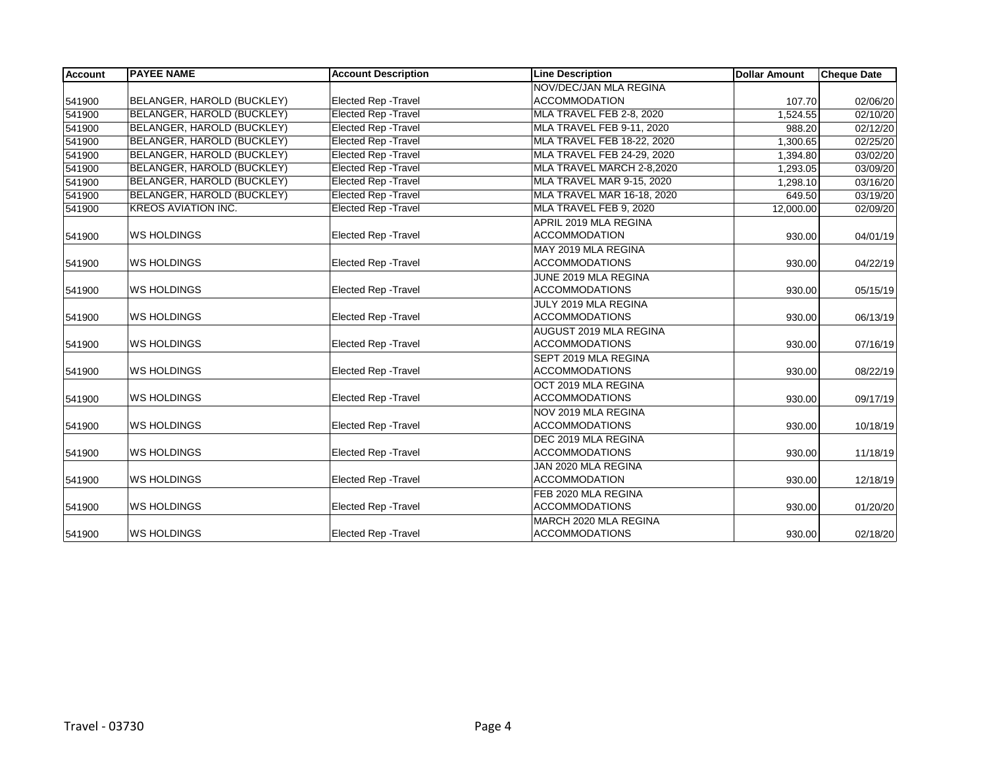| <b>Account</b> | <b>PAYEE NAME</b>          | <b>Account Description</b>  | <b>Line Description</b>           | <b>Dollar Amount</b> | <b>Cheque Date</b> |
|----------------|----------------------------|-----------------------------|-----------------------------------|----------------------|--------------------|
|                |                            |                             | NOV/DEC/JAN MLA REGINA            |                      |                    |
| 541900         | BELANGER, HAROLD (BUCKLEY) | <b>Elected Rep - Travel</b> | <b>ACCOMMODATION</b>              | 107.70               | 02/06/20           |
| 541900         | BELANGER, HAROLD (BUCKLEY) | <b>Elected Rep - Travel</b> | MLA TRAVEL FEB 2-8, 2020          | 1,524.55             | 02/10/20           |
| 541900         | BELANGER, HAROLD (BUCKLEY) | <b>Elected Rep - Travel</b> | MLA TRAVEL FEB 9-11, 2020         | 988.20               | 02/12/20           |
| 541900         | BELANGER, HAROLD (BUCKLEY) | <b>Elected Rep - Travel</b> | MLA TRAVEL FEB 18-22, 2020        | 1,300.65             | 02/25/20           |
| 541900         | BELANGER, HAROLD (BUCKLEY) | <b>Elected Rep - Travel</b> | MLA TRAVEL FEB 24-29, 2020        | 1,394.80             | 03/02/20           |
| 541900         | BELANGER, HAROLD (BUCKLEY) | <b>Elected Rep - Travel</b> | MLA TRAVEL MARCH 2-8,2020         | 1,293.05             | 03/09/20           |
| 541900         | BELANGER, HAROLD (BUCKLEY) | <b>Elected Rep - Travel</b> | MLA TRAVEL MAR 9-15, 2020         | 1,298.10             | 03/16/20           |
| 541900         | BELANGER, HAROLD (BUCKLEY) | <b>Elected Rep - Travel</b> | <b>MLA TRAVEL MAR 16-18, 2020</b> | 649.50               | 03/19/20           |
| 541900         | <b>KREOS AVIATION INC.</b> | <b>Elected Rep - Travel</b> | MLA TRAVEL FEB 9, 2020            | 12,000.00            | 02/09/20           |
|                |                            |                             | APRIL 2019 MLA REGINA             |                      |                    |
| 541900         | <b>WS HOLDINGS</b>         | Elected Rep - Travel        | <b>ACCOMMODATION</b>              | 930.00               | 04/01/19           |
|                |                            |                             | MAY 2019 MLA REGINA               |                      |                    |
| 541900         | <b>WS HOLDINGS</b>         | <b>Elected Rep - Travel</b> | <b>ACCOMMODATIONS</b>             | 930.00               | 04/22/19           |
|                |                            |                             | JUNE 2019 MLA REGINA              |                      |                    |
| 541900         | <b>WS HOLDINGS</b>         | Elected Rep - Travel        | <b>ACCOMMODATIONS</b>             | 930.00               | 05/15/19           |
|                |                            |                             | JULY 2019 MLA REGINA              |                      |                    |
| 541900         | <b>WS HOLDINGS</b>         | Elected Rep - Travel        | <b>ACCOMMODATIONS</b>             | 930.00               | 06/13/19           |
|                |                            |                             | AUGUST 2019 MLA REGINA            |                      |                    |
| 541900         | <b>WS HOLDINGS</b>         | <b>Elected Rep - Travel</b> | <b>ACCOMMODATIONS</b>             | 930.00               | 07/16/19           |
|                |                            |                             | SEPT 2019 MLA REGINA              |                      |                    |
| 541900         | <b>WS HOLDINGS</b>         | Elected Rep - Travel        | <b>ACCOMMODATIONS</b>             | 930.00               | 08/22/19           |
|                |                            |                             | OCT 2019 MLA REGINA               |                      |                    |
| 541900         | <b>WS HOLDINGS</b>         | Elected Rep - Travel        | <b>ACCOMMODATIONS</b>             | 930.00               | 09/17/19           |
|                |                            |                             | NOV 2019 MLA REGINA               |                      |                    |
| 541900         | <b>WS HOLDINGS</b>         | Elected Rep - Travel        | <b>ACCOMMODATIONS</b>             | 930.00               | 10/18/19           |
|                |                            |                             | DEC 2019 MLA REGINA               |                      |                    |
| 541900         | <b>WS HOLDINGS</b>         | Elected Rep - Travel        | <b>ACCOMMODATIONS</b>             | 930.00               | 11/18/19           |
|                |                            |                             | JAN 2020 MLA REGINA               |                      |                    |
| 541900         | <b>WS HOLDINGS</b>         | <b>Elected Rep - Travel</b> | <b>ACCOMMODATION</b>              | 930.00               | 12/18/19           |
|                |                            |                             | FEB 2020 MLA REGINA               |                      |                    |
| 541900         | <b>WS HOLDINGS</b>         | <b>Elected Rep - Travel</b> | <b>ACCOMMODATIONS</b>             | 930.00               | 01/20/20           |
|                |                            |                             | MARCH 2020 MLA REGINA             |                      |                    |
| 541900         | <b>WS HOLDINGS</b>         | Elected Rep - Travel        | <b>ACCOMMODATIONS</b>             | 930.00               | 02/18/20           |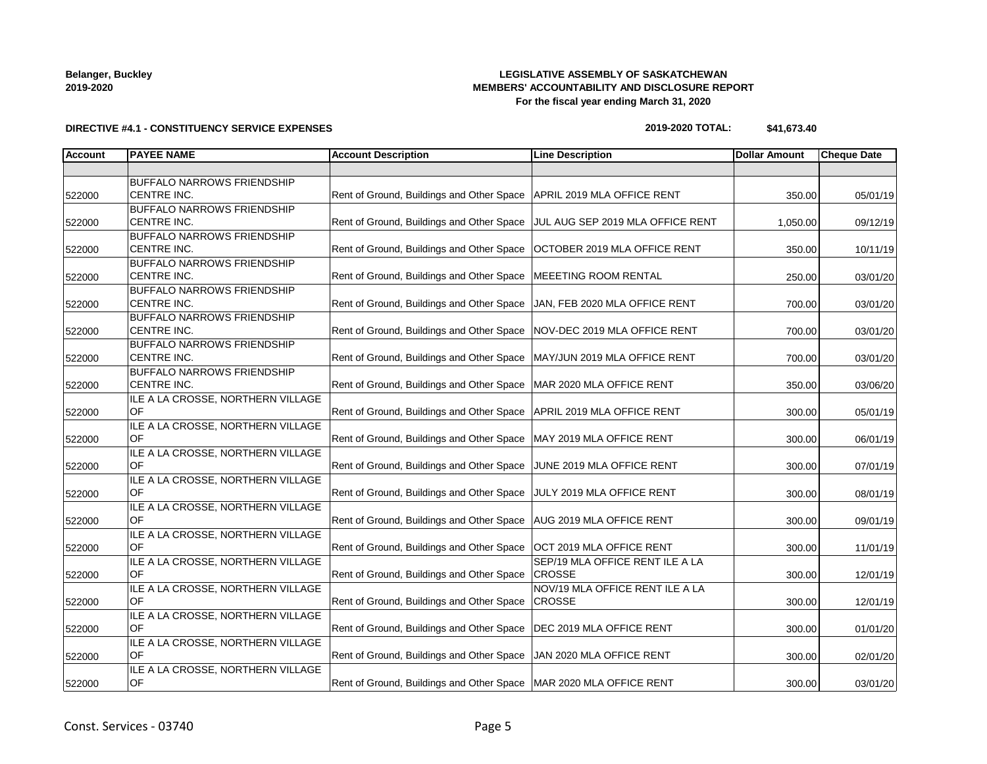# **LEGISLATIVE ASSEMBLY OF SASKATCHEWAN MEMBERS' ACCOUNTABILITY AND DISCLOSURE REPORT For the fiscal year ending March 31, 2020**

### **DIRECTIVE #4.1 - CONSTITUENCY SERVICE EXPENSES**

### **2019-2020 TOTAL: \$41,673.40**

| <b>Account</b> | <b>PAYEE NAME</b>                 | <b>Account Description</b>                                               | <b>Line Description</b>          | <b>Dollar Amount</b> | <b>Cheque Date</b> |
|----------------|-----------------------------------|--------------------------------------------------------------------------|----------------------------------|----------------------|--------------------|
|                |                                   |                                                                          |                                  |                      |                    |
|                | <b>BUFFALO NARROWS FRIENDSHIP</b> |                                                                          |                                  |                      |                    |
| 522000         | CENTRE INC.                       | Rent of Ground, Buildings and Other Space                                | APRIL 2019 MLA OFFICE RENT       | 350.00               | 05/01/19           |
|                | <b>BUFFALO NARROWS FRIENDSHIP</b> |                                                                          |                                  |                      |                    |
| 522000         | <b>CENTRE INC.</b>                | Rent of Ground, Buildings and Other Space                                | JUL AUG SEP 2019 MLA OFFICE RENT | 1,050.00             | 09/12/19           |
|                | <b>BUFFALO NARROWS FRIENDSHIP</b> |                                                                          |                                  |                      |                    |
| 522000         | CENTRE INC.                       | Rent of Ground, Buildings and Other Space                                | OCTOBER 2019 MLA OFFICE RENT     | 350.00               | 10/11/19           |
|                | <b>BUFFALO NARROWS FRIENDSHIP</b> |                                                                          |                                  |                      |                    |
| 522000         | CENTRE INC.                       | Rent of Ground, Buildings and Other Space                                | MEEETING ROOM RENTAL             | 250.00               | 03/01/20           |
|                | <b>BUFFALO NARROWS FRIENDSHIP</b> |                                                                          |                                  |                      |                    |
| 522000         | <b>CENTRE INC.</b>                | Rent of Ground, Buildings and Other Space                                | JAN, FEB 2020 MLA OFFICE RENT    | 700.00               | 03/01/20           |
|                | <b>BUFFALO NARROWS FRIENDSHIP</b> |                                                                          |                                  |                      |                    |
| 522000         | CENTRE INC.                       | Rent of Ground, Buildings and Other Space   NOV-DEC 2019 MLA OFFICE RENT |                                  | 700.00               | 03/01/20           |
|                | <b>BUFFALO NARROWS FRIENDSHIP</b> |                                                                          |                                  |                      |                    |
| 522000         | <b>CENTRE INC.</b>                | Rent of Ground, Buildings and Other Space   MAY/JUN 2019 MLA OFFICE RENT |                                  | 700.00               | 03/01/20           |
|                | <b>BUFFALO NARROWS FRIENDSHIP</b> |                                                                          |                                  |                      |                    |
| 522000         | CENTRE INC.                       | Rent of Ground, Buildings and Other Space                                | MAR 2020 MLA OFFICE RENT         | 350.00               | 03/06/20           |
|                | ILE A LA CROSSE, NORTHERN VILLAGE |                                                                          |                                  |                      |                    |
| 522000         | OF                                | Rent of Ground, Buildings and Other Space                                | APRIL 2019 MLA OFFICE RENT       | 300.00               | 05/01/19           |
|                | ILE A LA CROSSE, NORTHERN VILLAGE |                                                                          |                                  |                      |                    |
| 522000         | OF                                | Rent of Ground, Buildings and Other Space                                | MAY 2019 MLA OFFICE RENT         | 300.00               | 06/01/19           |
|                | ILE A LA CROSSE, NORTHERN VILLAGE |                                                                          |                                  |                      |                    |
| 522000         | OF                                | Rent of Ground, Buildings and Other Space                                | JUNE 2019 MLA OFFICE RENT        | 300.00               | 07/01/19           |
|                | ILE A LA CROSSE, NORTHERN VILLAGE |                                                                          |                                  |                      |                    |
| 522000         | OF                                | Rent of Ground, Buildings and Other Space                                | JULY 2019 MLA OFFICE RENT        | 300.00               | 08/01/19           |
|                | ILE A LA CROSSE, NORTHERN VILLAGE |                                                                          |                                  |                      |                    |
| 522000         | OF                                | Rent of Ground, Buildings and Other Space   AUG 2019 MLA OFFICE RENT     |                                  | 300.00               | 09/01/19           |
|                | ILE A LA CROSSE, NORTHERN VILLAGE |                                                                          |                                  |                      |                    |
| 522000         | OF                                | Rent of Ground, Buildings and Other Space                                | <b>OCT 2019 MLA OFFICE RENT</b>  | 300.00               | 11/01/19           |
|                | ILE A LA CROSSE, NORTHERN VILLAGE |                                                                          | SEP/19 MLA OFFICE RENT ILE A LA  |                      |                    |
| 522000         | OF                                | Rent of Ground, Buildings and Other Space                                | <b>CROSSE</b>                    | 300.00               | 12/01/19           |
|                | ILE A LA CROSSE, NORTHERN VILLAGE |                                                                          | NOV/19 MLA OFFICE RENT ILE A LA  |                      |                    |
| 522000         | OF                                | Rent of Ground, Buildings and Other Space                                | <b>CROSSE</b>                    | 300.00               | 12/01/19           |
|                | ILE A LA CROSSE, NORTHERN VILLAGE |                                                                          |                                  |                      |                    |
| 522000         | OF                                | Rent of Ground, Buildings and Other Space   DEC 2019 MLA OFFICE RENT     |                                  | 300.00               | 01/01/20           |
|                | ILE A LA CROSSE, NORTHERN VILLAGE |                                                                          |                                  |                      |                    |
| 522000         | <b>OF</b>                         | Rent of Ground, Buildings and Other Space                                | JAN 2020 MLA OFFICE RENT         | 300.00               | 02/01/20           |
|                | ILE A LA CROSSE, NORTHERN VILLAGE |                                                                          |                                  |                      |                    |
| 522000         | OF                                | Rent of Ground, Buildings and Other Space   MAR 2020 MLA OFFICE RENT     |                                  | 300.00               | 03/01/20           |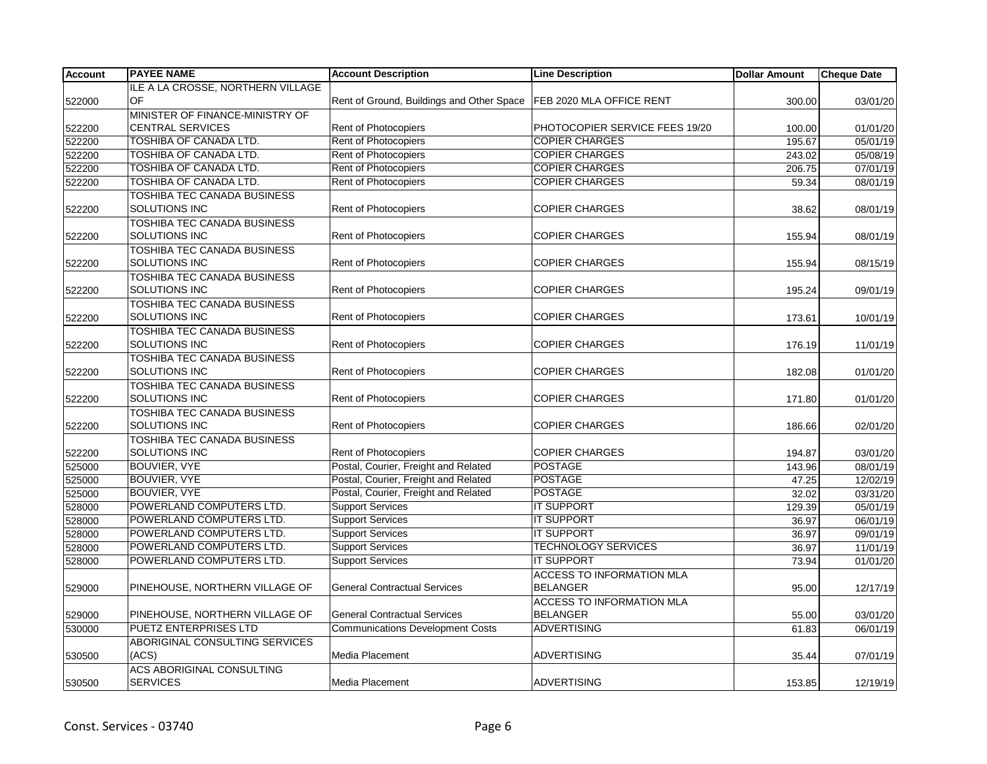| <b>Account</b> | <b>PAYEE NAME</b>                  | <b>Account Description</b>                | <b>Line Description</b>          | <b>Dollar Amount</b> | Cheque Date |
|----------------|------------------------------------|-------------------------------------------|----------------------------------|----------------------|-------------|
|                | ILE A LA CROSSE. NORTHERN VILLAGE  |                                           |                                  |                      |             |
| 522000         | OF                                 | Rent of Ground, Buildings and Other Space | FEB 2020 MLA OFFICE RENT         | 300.00               | 03/01/20    |
|                | MINISTER OF FINANCE-MINISTRY OF    |                                           |                                  |                      |             |
| 522200         | <b>CENTRAL SERVICES</b>            | Rent of Photocopiers                      | PHOTOCOPIER SERVICE FEES 19/20   | 100.00               | 01/01/20    |
| 522200         | TOSHIBA OF CANADA LTD.             | Rent of Photocopiers                      | <b>COPIER CHARGES</b>            | 195.67               | 05/01/19    |
| 522200         | TOSHIBA OF CANADA LTD.             | Rent of Photocopiers                      | <b>COPIER CHARGES</b>            | 243.02               | 05/08/19    |
| 522200         | <b>TOSHIBA OF CANADA LTD.</b>      | <b>Rent of Photocopiers</b>               | <b>COPIER CHARGES</b>            | 206.75               | 07/01/19    |
| 522200         | TOSHIBA OF CANADA LTD.             | Rent of Photocopiers                      | <b>COPIER CHARGES</b>            | 59.34                | 08/01/19    |
|                | TOSHIBA TEC CANADA BUSINESS        |                                           |                                  |                      |             |
| 522200         | SOLUTIONS INC                      | Rent of Photocopiers                      | <b>COPIER CHARGES</b>            | 38.62                | 08/01/19    |
|                | TOSHIBA TEC CANADA BUSINESS        |                                           |                                  |                      |             |
| 522200         | <b>SOLUTIONS INC</b>               | Rent of Photocopiers                      | <b>COPIER CHARGES</b>            | 155.94               | 08/01/19    |
|                | <b>TOSHIBA TEC CANADA BUSINESS</b> |                                           |                                  |                      |             |
| 522200         | SOLUTIONS INC                      | <b>Rent of Photocopiers</b>               | <b>COPIER CHARGES</b>            | 155.94               | 08/15/19    |
|                | <b>TOSHIBA TEC CANADA BUSINESS</b> |                                           |                                  |                      |             |
| 522200         | SOLUTIONS INC                      | Rent of Photocopiers                      | <b>COPIER CHARGES</b>            | 195.24               | 09/01/19    |
|                | TOSHIBA TEC CANADA BUSINESS        |                                           |                                  |                      |             |
| 522200         | <b>SOLUTIONS INC</b>               | Rent of Photocopiers                      | <b>COPIER CHARGES</b>            | 173.61               | 10/01/19    |
|                | <b>TOSHIBA TEC CANADA BUSINESS</b> |                                           |                                  |                      |             |
| 522200         | SOLUTIONS INC                      | Rent of Photocopiers                      | <b>COPIER CHARGES</b>            | 176.19               | 11/01/19    |
|                | TOSHIBA TEC CANADA BUSINESS        |                                           |                                  |                      |             |
| 522200         | SOLUTIONS INC                      | <b>Rent of Photocopiers</b>               | <b>COPIER CHARGES</b>            | 182.08               | 01/01/20    |
|                | <b>TOSHIBA TEC CANADA BUSINESS</b> |                                           |                                  |                      |             |
| 522200         | SOLUTIONS INC                      | <b>Rent of Photocopiers</b>               | <b>COPIER CHARGES</b>            | 171.80               | 01/01/20    |
|                | TOSHIBA TEC CANADA BUSINESS        |                                           |                                  |                      |             |
| 522200         | SOLUTIONS INC                      | Rent of Photocopiers                      | <b>COPIER CHARGES</b>            | 186.66               | 02/01/20    |
|                | <b>TOSHIBA TEC CANADA BUSINESS</b> |                                           |                                  |                      |             |
| 522200         | SOLUTIONS INC                      | Rent of Photocopiers                      | <b>COPIER CHARGES</b>            | 194.87               | 03/01/20    |
| 525000         | <b>BOUVIER, VYE</b>                | Postal, Courier, Freight and Related      | <b>POSTAGE</b>                   | 143.96               | 08/01/19    |
| 525000         | BOUVIER, VYE                       | Postal, Courier, Freight and Related      | <b>POSTAGE</b>                   | 47.25                | 12/02/19    |
| 525000         | <b>BOUVIER, VYE</b>                | Postal, Courier, Freight and Related      | <b>POSTAGE</b>                   | 32.02                | 03/31/20    |
| 528000         | POWERLAND COMPUTERS LTD.           | <b>Support Services</b>                   | <b>IT SUPPORT</b>                | 129.39               | 05/01/19    |
| 528000         | POWERLAND COMPUTERS LTD.           | <b>Support Services</b>                   | <b>IT SUPPORT</b>                | 36.97                | 06/01/19    |
| 528000         | POWERLAND COMPUTERS LTD.           | <b>Support Services</b>                   | <b>IT SUPPORT</b>                | 36.97                | 09/01/19    |
| 528000         | POWERLAND COMPUTERS LTD.           | <b>Support Services</b>                   | <b>TECHNOLOGY SERVICES</b>       | 36.97                | 11/01/19    |
| 528000         | POWERLAND COMPUTERS LTD.           | <b>Support Services</b>                   | <b>IT SUPPORT</b>                | 73.94                | 01/01/20    |
|                |                                    |                                           | <b>ACCESS TO INFORMATION MLA</b> |                      |             |
| 529000         | PINEHOUSE, NORTHERN VILLAGE OF     | <b>General Contractual Services</b>       | <b>BELANGER</b>                  | 95.00                | 12/17/19    |
|                |                                    |                                           | <b>ACCESS TO INFORMATION MLA</b> |                      |             |
| 529000         | PINEHOUSE, NORTHERN VILLAGE OF     | <b>General Contractual Services</b>       | <b>BELANGER</b>                  | 55.00                | 03/01/20    |
| 530000         | <b>PUETZ ENTERPRISES LTD</b>       | <b>Communications Development Costs</b>   | <b>ADVERTISING</b>               | 61.83                | 06/01/19    |
|                | ABORIGINAL CONSULTING SERVICES     |                                           |                                  |                      |             |
| 530500         | (ACS)                              | Media Placement                           | <b>ADVERTISING</b>               | 35.44                | 07/01/19    |
|                | <b>ACS ABORIGINAL CONSULTING</b>   |                                           |                                  |                      |             |
| 530500         | <b>SERVICES</b>                    | <b>Media Placement</b>                    | ADVERTISING                      | 153.85               | 12/19/19    |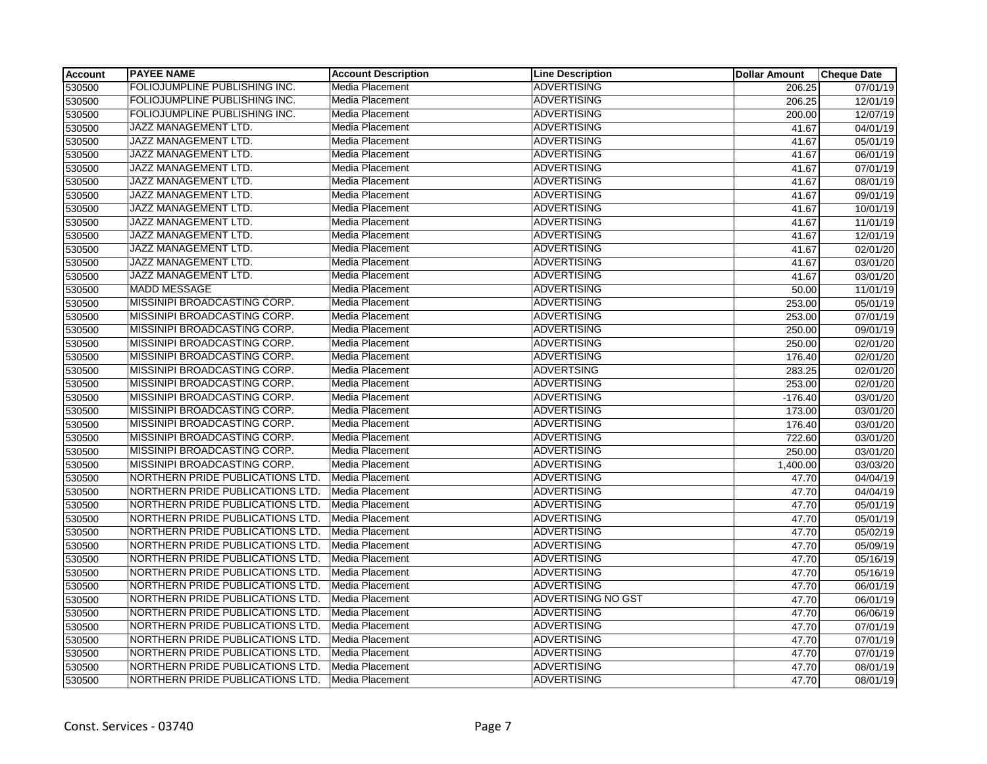| <b>Account</b> | <b>PAYEE NAME</b>                    | <b>Account Description</b> | <b>Line Description</b>   | <b>Dollar Amount</b> | <b>Cheque Date</b>    |
|----------------|--------------------------------------|----------------------------|---------------------------|----------------------|-----------------------|
| 530500         | <b>FOLIOJUMPLINE PUBLISHING INC.</b> | Media Placement            | <b>ADVERTISING</b>        | 206.25               | 07/01/19              |
| 530500         | FOLIOJUMPLINE PUBLISHING INC.        | Media Placement            | <b>ADVERTISING</b>        | 206.25               | 12/01/19              |
| 530500         | FOLIOJUMPLINE PUBLISHING INC.        | Media Placement            | <b>ADVERTISING</b>        | 200.00               | 12/07/19              |
| 530500         | JAZZ MANAGEMENT LTD.                 | <b>Media Placement</b>     | <b>ADVERTISING</b>        | 41.67                | 04/01/19              |
| 530500         | JAZZ MANAGEMENT LTD.                 | Media Placement            | <b>ADVERTISING</b>        | 41.67                | 05/01/19              |
| 530500         | JAZZ MANAGEMENT LTD.                 | Media Placement            | <b>ADVERTISING</b>        | 41.67                | 06/01/19              |
| 530500         | JAZZ MANAGEMENT LTD.                 | Media Placement            | <b>ADVERTISING</b>        | 41.67                | $\overline{07/01/19}$ |
| 530500         | JAZZ MANAGEMENT LTD.                 | Media Placement            | <b>ADVERTISING</b>        | 41.67                | 08/01/19              |
| 530500         | JAZZ MANAGEMENT LTD.                 | Media Placement            | <b>ADVERTISING</b>        | 41.67                | 09/01/19              |
| 530500         | JAZZ MANAGEMENT LTD.                 | Media Placement            | <b>ADVERTISING</b>        | 41.67                | 10/01/19              |
| 530500         | <b>JAZZ MANAGEMENT LTD.</b>          | Media Placement            | <b>ADVERTISING</b>        | 41.67                | 11/01/19              |
| 530500         | JAZZ MANAGEMENT LTD.                 | Media Placement            | <b>ADVERTISING</b>        | 41.67                | 12/01/19              |
| 530500         | <b>JAZZ MANAGEMENT LTD.</b>          | Media Placement            | <b>ADVERTISING</b>        | 41.67                | 02/01/20              |
| 530500         | <b>JAZZ MANAGEMENT LTD.</b>          | Media Placement            | <b>ADVERTISING</b>        | 41.67                | 03/01/20              |
| 530500         | JAZZ MANAGEMENT LTD.                 | Media Placement            | <b>ADVERTISING</b>        | 41.67                | 03/01/20              |
| 530500         | <b>MADD MESSAGE</b>                  | <b>Media Placement</b>     | <b>ADVERTISING</b>        | 50.00                | 11/01/19              |
| 530500         | MISSINIPI BROADCASTING CORP.         | Media Placement            | <b>ADVERTISING</b>        | 253.00               | 05/01/19              |
| 530500         | MISSINIPI BROADCASTING CORP.         | Media Placement            | <b>ADVERTISING</b>        | 253.00               | 07/01/19              |
| 530500         | MISSINIPI BROADCASTING CORP.         | Media Placement            | <b>ADVERTISING</b>        | 250.00               | 09/01/19              |
| 530500         | MISSINIPI BROADCASTING CORP.         | Media Placement            | <b>ADVERTISING</b>        | 250.00               | $\overline{02/01}/20$ |
| 530500         | MISSINIPI BROADCASTING CORP.         | Media Placement            | <b>ADVERTISING</b>        | 176.40               | 02/01/20              |
| 530500         | MISSINIPI BROADCASTING CORP.         | Media Placement            | <b>ADVERTSING</b>         | 283.25               | 02/01/20              |
| 530500         | MISSINIPI BROADCASTING CORP.         | <b>Media Placement</b>     | <b>ADVERTISING</b>        | 253.00               | 02/01/20              |
| 530500         | MISSINIPI BROADCASTING CORP.         | Media Placement            | <b>ADVERTISING</b>        | $-176.40$            | 03/01/20              |
| 530500         | MISSINIPI BROADCASTING CORP.         | Media Placement            | <b>ADVERTISING</b>        | 173.00               | 03/01/20              |
| 530500         | MISSINIPI BROADCASTING CORP.         | Media Placement            | <b>ADVERTISING</b>        | 176.40               | 03/01/20              |
| 530500         | MISSINIPI BROADCASTING CORP.         | Media Placement            | <b>ADVERTISING</b>        | 722.60               | 03/01/20              |
| 530500         | MISSINIPI BROADCASTING CORP.         | Media Placement            | <b>ADVERTISING</b>        | 250.00               | 03/01/20              |
| 530500         | MISSINIPI BROADCASTING CORP.         | <b>Media Placement</b>     | <b>ADVERTISING</b>        | 1,400.00             | 03/03/20              |
| 530500         | NORTHERN PRIDE PUBLICATIONS LTD.     | Media Placement            | <b>ADVERTISING</b>        | 47.70                | 04/04/19              |
| 530500         | NORTHERN PRIDE PUBLICATIONS LTD.     | Media Placement            | <b>ADVERTISING</b>        | 47.70                | 04/04/19              |
| 530500         | NORTHERN PRIDE PUBLICATIONS LTD.     | <b>Media Placement</b>     | <b>ADVERTISING</b>        | 47.70                | 05/01/19              |
| 530500         | NORTHERN PRIDE PUBLICATIONS LTD.     | Media Placement            | <b>ADVERTISING</b>        | 47.70                | 05/01/19              |
| 530500         | NORTHERN PRIDE PUBLICATIONS LTD.     | Media Placement            | <b>ADVERTISING</b>        | 47.70                | 05/02/19              |
| 530500         | NORTHERN PRIDE PUBLICATIONS LTD.     | Media Placement            | <b>ADVERTISING</b>        | 47.70                | 05/09/19              |
| 530500         | NORTHERN PRIDE PUBLICATIONS LTD.     | Media Placement            | <b>ADVERTISING</b>        | 47.70                | 05/16/19              |
| 530500         | NORTHERN PRIDE PUBLICATIONS LTD.     | Media Placement            | <b>ADVERTISING</b>        | 47.70                | 05/16/19              |
| 530500         | NORTHERN PRIDE PUBLICATIONS LTD.     | Media Placement            | <b>ADVERTISING</b>        | 47.70                | 06/01/19              |
| 530500         | NORTHERN PRIDE PUBLICATIONS LTD.     | Media Placement            | <b>ADVERTISING NO GST</b> | 47.70                | 06/01/19              |
| 530500         | NORTHERN PRIDE PUBLICATIONS LTD.     | Media Placement            | <b>ADVERTISING</b>        | 47.70                | 06/06/19              |
| 530500         | NORTHERN PRIDE PUBLICATIONS LTD.     | Media Placement            | <b>ADVERTISING</b>        | 47.70                | 07/01/19              |
| 530500         | NORTHERN PRIDE PUBLICATIONS LTD.     | Media Placement            | <b>ADVERTISING</b>        | 47.70                | $\overline{07/01/19}$ |
| 530500         | NORTHERN PRIDE PUBLICATIONS LTD.     | Media Placement            | <b>ADVERTISING</b>        | 47.70                | 07/01/19              |
| 530500         | NORTHERN PRIDE PUBLICATIONS LTD.     | Media Placement            | <b>ADVERTISING</b>        | 47.70                | 08/01/19              |
| 530500         | NORTHERN PRIDE PUBLICATIONS LTD.     | Media Placement            | <b>ADVERTISING</b>        | 47.70                | 08/01/19              |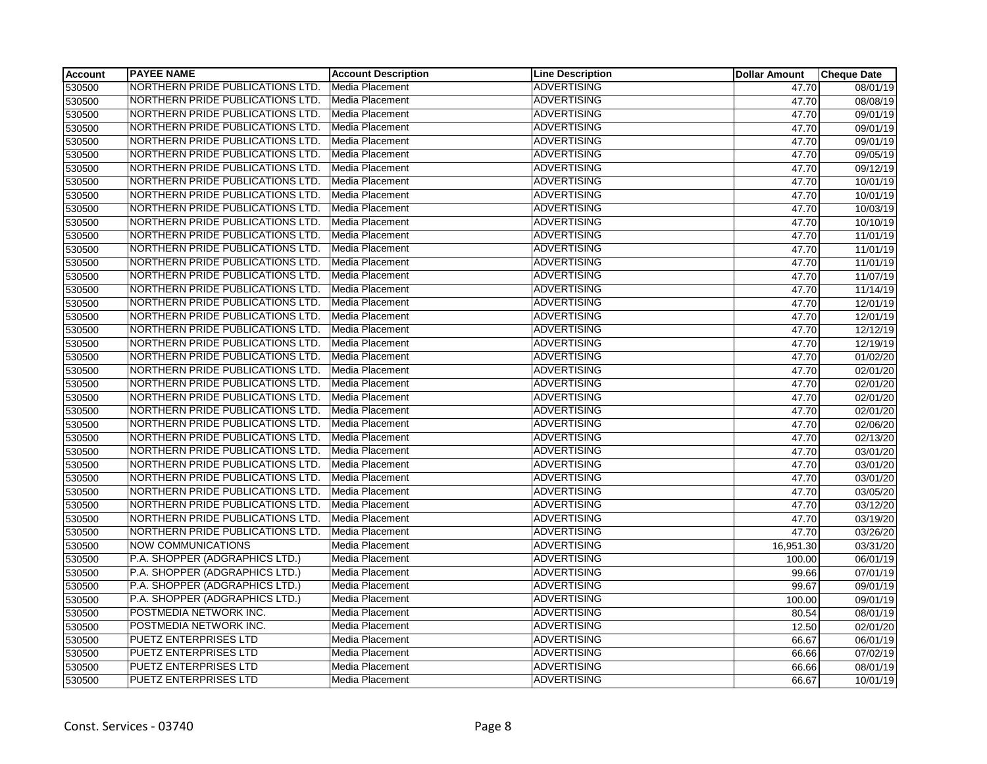| <b>Account</b> | <b>PAYEE NAME</b>                | <b>Account Description</b> | <b>Line Description</b> | <b>Dollar Amount</b> | <b>Cheque Date</b> |
|----------------|----------------------------------|----------------------------|-------------------------|----------------------|--------------------|
| 530500         | NORTHERN PRIDE PUBLICATIONS LTD. | Media Placement            | <b>ADVERTISING</b>      | 47.70                | 08/01/19           |
| 530500         | NORTHERN PRIDE PUBLICATIONS LTD. | <b>Media Placement</b>     | <b>ADVERTISING</b>      | 47.70                | 08/08/19           |
| 530500         | NORTHERN PRIDE PUBLICATIONS LTD. | Media Placement            | <b>ADVERTISING</b>      | 47.70                | 09/01/19           |
| 530500         | NORTHERN PRIDE PUBLICATIONS LTD. | Media Placement            | <b>ADVERTISING</b>      | 47.70                | 09/01/19           |
| 530500         | NORTHERN PRIDE PUBLICATIONS LTD. | Media Placement            | <b>ADVERTISING</b>      | 47.70                | 09/01/19           |
| 530500         | NORTHERN PRIDE PUBLICATIONS LTD. | Media Placement            | <b>ADVERTISING</b>      | 47.70                | 09/05/19           |
| 530500         | NORTHERN PRIDE PUBLICATIONS LTD. | Media Placement            | <b>ADVERTISING</b>      | 47.70                | 09/12/19           |
| 530500         | NORTHERN PRIDE PUBLICATIONS LTD. | Media Placement            | <b>ADVERTISING</b>      | 47.70                | 10/01/19           |
| 530500         | NORTHERN PRIDE PUBLICATIONS LTD. | Media Placement            | <b>ADVERTISING</b>      | 47.70                | 10/01/19           |
| 530500         | NORTHERN PRIDE PUBLICATIONS LTD. | Media Placement            | <b>ADVERTISING</b>      | 47.70                | 10/03/19           |
| 530500         | NORTHERN PRIDE PUBLICATIONS LTD. | Media Placement            | <b>ADVERTISING</b>      | 47.70                | 10/10/19           |
| 530500         | NORTHERN PRIDE PUBLICATIONS LTD. | Media Placement            | <b>ADVERTISING</b>      | 47.70                | 11/01/19           |
| 530500         | NORTHERN PRIDE PUBLICATIONS LTD. | <b>Media Placement</b>     | <b>ADVERTISING</b>      | 47.70                | 11/01/19           |
| 530500         | NORTHERN PRIDE PUBLICATIONS LTD. | Media Placement            | <b>ADVERTISING</b>      | 47.70                | 11/01/19           |
| 530500         | NORTHERN PRIDE PUBLICATIONS LTD. | Media Placement            | <b>ADVERTISING</b>      | 47.70                | 11/07/19           |
| 530500         | NORTHERN PRIDE PUBLICATIONS LTD. | Media Placement            | <b>ADVERTISING</b>      | 47.70                | 11/14/19           |
| 530500         | NORTHERN PRIDE PUBLICATIONS LTD. | Media Placement            | <b>ADVERTISING</b>      | 47.70                | 12/01/19           |
| 530500         | NORTHERN PRIDE PUBLICATIONS LTD. | Media Placement            | <b>ADVERTISING</b>      | 47.70                | 12/01/19           |
| 530500         | NORTHERN PRIDE PUBLICATIONS LTD. | Media Placement            | <b>ADVERTISING</b>      | 47.70                | 12/12/19           |
| 530500         | NORTHERN PRIDE PUBLICATIONS LTD. | Media Placement            | <b>ADVERTISING</b>      | 47.70                | 12/19/19           |
| 530500         | NORTHERN PRIDE PUBLICATIONS LTD. | Media Placement            | <b>ADVERTISING</b>      | 47.70                | 01/02/20           |
| 530500         | NORTHERN PRIDE PUBLICATIONS LTD. | Media Placement            | <b>ADVERTISING</b>      | 47.70                | 02/01/20           |
| 530500         | NORTHERN PRIDE PUBLICATIONS LTD. | Media Placement            | <b>ADVERTISING</b>      | 47.70                | 02/01/20           |
| 530500         | NORTHERN PRIDE PUBLICATIONS LTD. | Media Placement            | <b>ADVERTISING</b>      | 47.70                | 02/01/20           |
| 530500         | NORTHERN PRIDE PUBLICATIONS LTD. | Media Placement            | <b>ADVERTISING</b>      | 47.70                | 02/01/20           |
| 530500         | NORTHERN PRIDE PUBLICATIONS LTD. | Media Placement            | <b>ADVERTISING</b>      | 47.70                | 02/06/20           |
| 530500         | NORTHERN PRIDE PUBLICATIONS LTD. | Media Placement            | <b>ADVERTISING</b>      | 47.70                | 02/13/20           |
| 530500         | NORTHERN PRIDE PUBLICATIONS LTD. | Media Placement            | <b>ADVERTISING</b>      | 47.70                | 03/01/20           |
| 530500         | NORTHERN PRIDE PUBLICATIONS LTD. | <b>Media Placement</b>     | <b>ADVERTISING</b>      | 47.70                | 03/01/20           |
| 530500         | NORTHERN PRIDE PUBLICATIONS LTD. | Media Placement            | <b>ADVERTISING</b>      | 47.70                | 03/01/20           |
| 530500         | NORTHERN PRIDE PUBLICATIONS LTD. | Media Placement            | <b>ADVERTISING</b>      | 47.70                | 03/05/20           |
| 530500         | NORTHERN PRIDE PUBLICATIONS LTD. | Media Placement            | <b>ADVERTISING</b>      | 47.70                | 03/12/20           |
| 530500         | NORTHERN PRIDE PUBLICATIONS LTD. | <b>Media Placement</b>     | <b>ADVERTISING</b>      | 47.70                | 03/19/20           |
| 530500         | NORTHERN PRIDE PUBLICATIONS LTD. | Media Placement            | <b>ADVERTISING</b>      | 47.70                | 03/26/20           |
| 530500         | <b>NOW COMMUNICATIONS</b>        | Media Placement            | <b>ADVERTISING</b>      | 16,951.30            | 03/31/20           |
| 530500         | P.A. SHOPPER (ADGRAPHICS LTD.)   | Media Placement            | <b>ADVERTISING</b>      | 100.00               | 06/01/19           |
| 530500         | P.A. SHOPPER (ADGRAPHICS LTD.)   | Media Placement            | <b>ADVERTISING</b>      | 99.66                | 07/01/19           |
| 530500         | P.A. SHOPPER (ADGRAPHICS LTD.)   | Media Placement            | <b>ADVERTISING</b>      | 99.67                | 09/01/19           |
| 530500         | P.A. SHOPPER (ADGRAPHICS LTD.)   | <b>Media Placement</b>     | <b>ADVERTISING</b>      | 100.00               | 09/01/19           |
| 530500         | POSTMEDIA NETWORK INC.           | Media Placement            | <b>ADVERTISING</b>      | 80.54                | 08/01/19           |
| 530500         | POSTMEDIA NETWORK INC.           | Media Placement            | <b>ADVERTISING</b>      | 12.50                | 02/01/20           |
| 530500         | <b>PUETZ ENTERPRISES LTD</b>     | Media Placement            | <b>ADVERTISING</b>      | 66.67                | 06/01/19           |
| 530500         | PUETZ ENTERPRISES LTD            | Media Placement            | <b>ADVERTISING</b>      | 66.66                | 07/02/19           |
| 530500         | <b>PUETZ ENTERPRISES LTD</b>     | Media Placement            | <b>ADVERTISING</b>      | 66.66                | 08/01/19           |
| 530500         | <b>PUETZ ENTERPRISES LTD</b>     | Media Placement            | <b>ADVERTISING</b>      | 66.67                | 10/01/19           |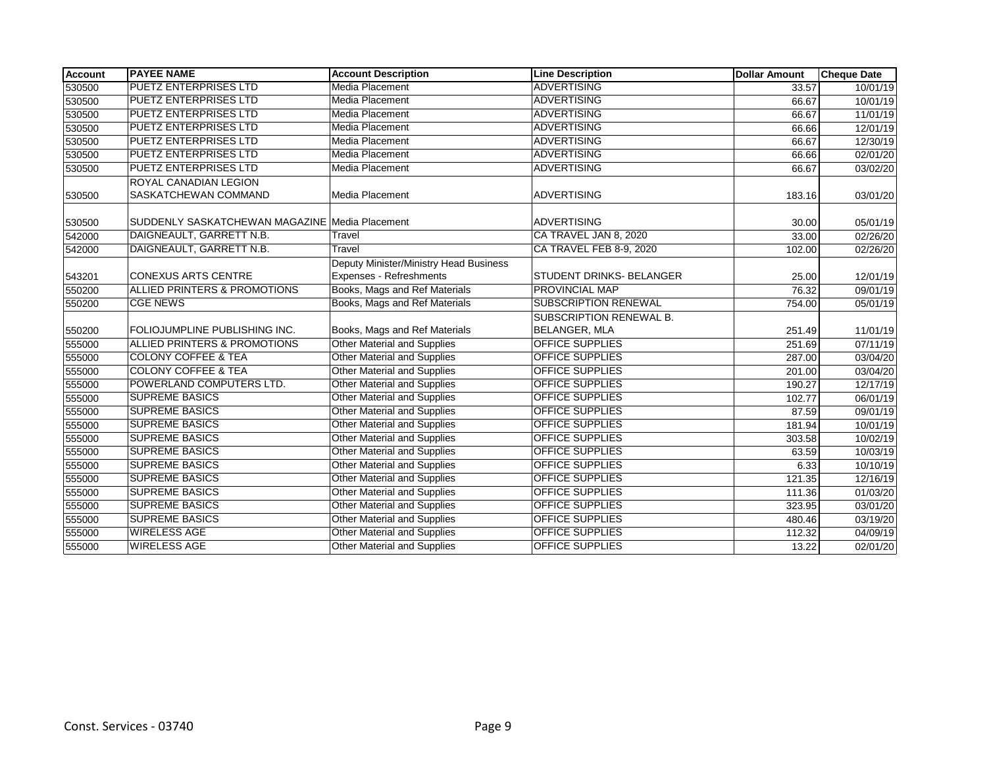| <b>Account</b> | <b>PAYEE NAME</b>                              | <b>Account Description</b>             | <b>Line Description</b>         | <b>Dollar Amount</b> | <b>Cheque Date</b> |
|----------------|------------------------------------------------|----------------------------------------|---------------------------------|----------------------|--------------------|
| 530500         | <b>PUETZ ENTERPRISES LTD</b>                   | <b>Media Placement</b>                 | <b>ADVERTISING</b>              | 33.57                | 10/01/19           |
| 530500         | <b>PUETZ ENTERPRISES LTD</b>                   | <b>Media Placement</b>                 | <b>ADVERTISING</b>              | 66.67                | 10/01/19           |
| 530500         | <b>PUETZ ENTERPRISES LTD</b>                   | Media Placement                        | <b>ADVERTISING</b>              | 66.67                | 11/01/19           |
| 530500         | <b>PUETZ ENTERPRISES LTD</b>                   | Media Placement                        | <b>ADVERTISING</b>              | 66.66                | 12/01/19           |
| 530500         | <b>PUETZ ENTERPRISES LTD</b>                   | Media Placement                        | <b>ADVERTISING</b>              | 66.67                | 12/30/19           |
| 530500         | <b>PUETZ ENTERPRISES LTD</b>                   | Media Placement                        | <b>ADVERTISING</b>              | 66.66                | 02/01/20           |
| 530500         | <b>PUETZ ENTERPRISES LTD</b>                   | <b>Media Placement</b>                 | <b>ADVERTISING</b>              | 66.67                | 03/02/20           |
|                | <b>ROYAL CANADIAN LEGION</b>                   |                                        |                                 |                      |                    |
| 530500         | <b>SASKATCHEWAN COMMAND</b>                    | Media Placement                        | <b>ADVERTISING</b>              | 183.16               | 03/01/20           |
| 530500         | SUDDENLY SASKATCHEWAN MAGAZINE Media Placement |                                        | <b>ADVERTISING</b>              | 30.00                | 05/01/19           |
| 542000         | DAIGNEAULT, GARRETT N.B.                       | Travel                                 | CA TRAVEL JAN 8, 2020           | 33.00                | 02/26/20           |
| 542000         | DAIGNEAULT, GARRETT N.B.                       | Travel                                 | CA TRAVEL FEB 8-9, 2020         | 102.00               | 02/26/20           |
|                |                                                | Deputy Minister/Ministry Head Business |                                 |                      |                    |
| 543201         | <b>CONEXUS ARTS CENTRE</b>                     | Expenses - Refreshments                | <b>STUDENT DRINKS- BELANGER</b> | 25.00                | 12/01/19           |
| 550200         | ALLIED PRINTERS & PROMOTIONS                   | Books, Mags and Ref Materials          | PROVINCIAL MAP                  | 76.32                | 09/01/19           |
| 550200         | <b>CGE NEWS</b>                                | Books, Mags and Ref Materials          | <b>SUBSCRIPTION RENEWAL</b>     | 754.00               | 05/01/19           |
|                |                                                |                                        | <b>SUBSCRIPTION RENEWAL B.</b>  |                      |                    |
| 550200         | FOLIOJUMPLINE PUBLISHING INC.                  | Books, Mags and Ref Materials          | <b>BELANGER, MLA</b>            | 251.49               | 11/01/19           |
| 555000         | <b>ALLIED PRINTERS &amp; PROMOTIONS</b>        | <b>Other Material and Supplies</b>     | <b>OFFICE SUPPLIES</b>          | 251.69               | 07/11/19           |
| 555000         | <b>COLONY COFFEE &amp; TEA</b>                 | <b>Other Material and Supplies</b>     | <b>OFFICE SUPPLIES</b>          | 287.00               | 03/04/20           |
| 555000         | <b>COLONY COFFEE &amp; TEA</b>                 | <b>Other Material and Supplies</b>     | <b>OFFICE SUPPLIES</b>          | 201.00               | 03/04/20           |
| 555000         | POWERLAND COMPUTERS LTD.                       | <b>Other Material and Supplies</b>     | <b>OFFICE SUPPLIES</b>          | 190.27               | 12/17/19           |
| 555000         | <b>SUPREME BASICS</b>                          | <b>Other Material and Supplies</b>     | <b>OFFICE SUPPLIES</b>          | 102.77               | 06/01/19           |
| 555000         | <b>SUPREME BASICS</b>                          | <b>Other Material and Supplies</b>     | <b>OFFICE SUPPLIES</b>          | 87.59                | 09/01/19           |
| 555000         | <b>SUPREME BASICS</b>                          | Other Material and Supplies            | <b>OFFICE SUPPLIES</b>          | 181.94               | 10/01/19           |
| 555000         | <b>SUPREME BASICS</b>                          | <b>Other Material and Supplies</b>     | OFFICE SUPPLIES                 | 303.58               | 10/02/19           |
| 555000         | <b>SUPREME BASICS</b>                          | <b>Other Material and Supplies</b>     | <b>OFFICE SUPPLIES</b>          | 63.59                | 10/03/19           |
| 555000         | <b>SUPREME BASICS</b>                          | <b>Other Material and Supplies</b>     | <b>OFFICE SUPPLIES</b>          | 6.33                 | 10/10/19           |
| 555000         | <b>SUPREME BASICS</b>                          | <b>Other Material and Supplies</b>     | <b>OFFICE SUPPLIES</b>          | 121.35               | 12/16/19           |
| 555000         | <b>SUPREME BASICS</b>                          | <b>Other Material and Supplies</b>     | <b>OFFICE SUPPLIES</b>          | 111.36               | 01/03/20           |
| 555000         | <b>SUPREME BASICS</b>                          | Other Material and Supplies            | OFFICE SUPPLIES                 | 323.95               | 03/01/20           |
| 555000         | <b>SUPREME BASICS</b>                          | <b>Other Material and Supplies</b>     | <b>OFFICE SUPPLIES</b>          | 480.46               | 03/19/20           |
| 555000         | <b>WIRELESS AGE</b>                            | Other Material and Supplies            | OFFICE SUPPLIES                 | 112.32               | 04/09/19           |
| 555000         | <b>WIRELESS AGE</b>                            | <b>Other Material and Supplies</b>     | <b>OFFICE SUPPLIES</b>          | 13.22                | 02/01/20           |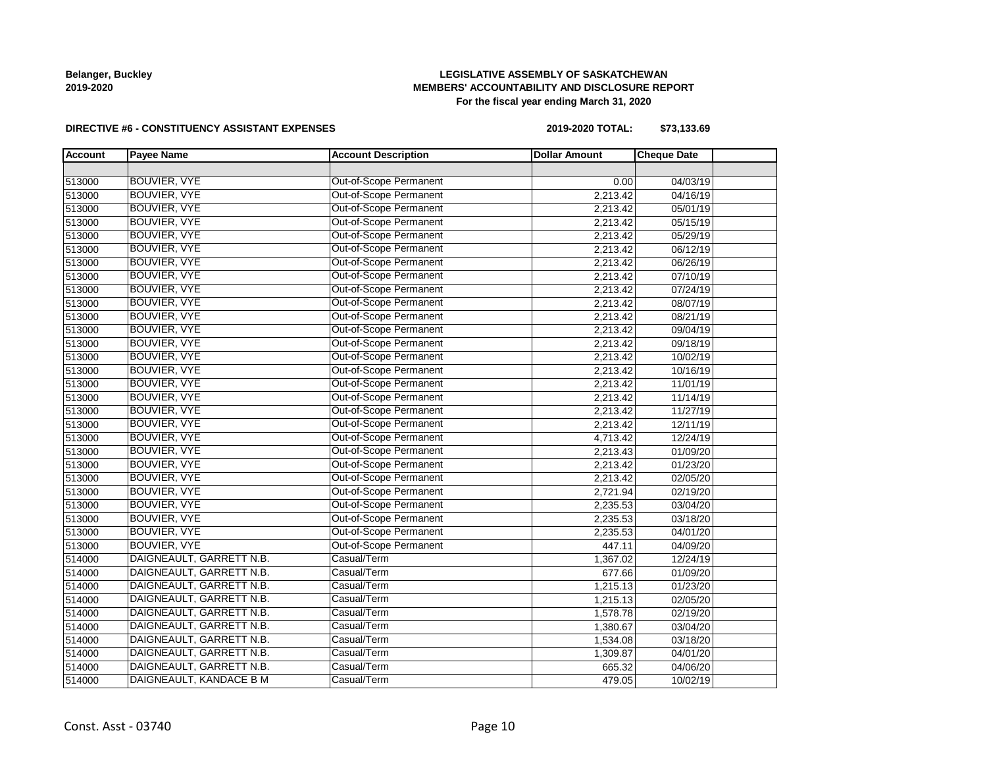# **LEGISLATIVE ASSEMBLY OF SASKATCHEWAN MEMBERS' ACCOUNTABILITY AND DISCLOSURE REPORT For the fiscal year ending March 31, 2020**

#### **DIRECTIVE #6 - CONSTITUENCY ASSISTANT EXPENSES**

**2019-2020 TOTAL: \$73,133.69**

| <b>Account</b> | <b>Payee Name</b>        | <b>Account Description</b>    | <b>Dollar Amount</b> | <b>Cheque Date</b> |  |
|----------------|--------------------------|-------------------------------|----------------------|--------------------|--|
|                |                          |                               |                      |                    |  |
| 513000         | BOUVIER, VYE             | <b>Out-of-Scope Permanent</b> | 0.00                 | 04/03/19           |  |
| 513000         | <b>BOUVIER, VYE</b>      | Out-of-Scope Permanent        | 2,213.42             | 04/16/19           |  |
| 513000         | BOUVIER, VYE             | Out-of-Scope Permanent        | 2,213.42             | 05/01/19           |  |
| 513000         | BOUVIER, VYE             | Out-of-Scope Permanent        | 2,213.42             | 05/15/19           |  |
| 513000         | <b>BOUVIER, VYE</b>      | Out-of-Scope Permanent        | 2,213.42             | 05/29/19           |  |
| 513000         | <b>BOUVIER, VYE</b>      | Out-of-Scope Permanent        | 2,213.42             | 06/12/19           |  |
| 513000         | BOUVIER, VYE             | Out-of-Scope Permanent        | 2,213.42             | 06/26/19           |  |
| 513000         | BOUVIER, VYE             | Out-of-Scope Permanent        | 2,213.42             | 07/10/19           |  |
| 513000         | BOUVIER, VYE             | Out-of-Scope Permanent        | 2,213.42             | 07/24/19           |  |
| 513000         | BOUVIER, VYE             | Out-of-Scope Permanent        | 2,213.42             | 08/07/19           |  |
| 513000         | <b>BOUVIER, VYE</b>      | Out-of-Scope Permanent        | 2,213.42             | 08/21/19           |  |
| 513000         | BOUVIER, VYE             | Out-of-Scope Permanent        | 2,213.42             | 09/04/19           |  |
| 513000         | <b>BOUVIER, VYE</b>      | Out-of-Scope Permanent        | 2,213.42             | 09/18/19           |  |
| 513000         | BOUVIER, VYE             | Out-of-Scope Permanent        | 2,213.42             | 10/02/19           |  |
| 513000         | BOUVIER, VYE             | Out-of-Scope Permanent        | 2,213.42             | 10/16/19           |  |
| 513000         | <b>BOUVIER, VYE</b>      | Out-of-Scope Permanent        | 2,213.42             | 11/01/19           |  |
| 513000         | BOUVIER, VYE             | Out-of-Scope Permanent        | 2,213.42             | 11/14/19           |  |
| 513000         | BOUVIER, VYE             | Out-of-Scope Permanent        | 2,213.42             | 11/27/19           |  |
| 513000         | <b>BOUVIER, VYE</b>      | Out-of-Scope Permanent        | 2,213.42             | 12/11/19           |  |
| 513000         | BOUVIER, VYE             | Out-of-Scope Permanent        | 4,713.42             | 12/24/19           |  |
| 513000         | <b>BOUVIER, VYE</b>      | Out-of-Scope Permanent        | 2,213.43             | 01/09/20           |  |
| 513000         | BOUVIER, VYE             | Out-of-Scope Permanent        | 2,213.42             | 01/23/20           |  |
| 513000         | BOUVIER, VYE             | Out-of-Scope Permanent        | 2,213.42             | 02/05/20           |  |
| 513000         | BOUVIER, VYE             | Out-of-Scope Permanent        | 2,721.94             | 02/19/20           |  |
| 513000         | <b>BOUVIER, VYE</b>      | <b>Out-of-Scope Permanent</b> | 2,235.53             | 03/04/20           |  |
| 513000         | <b>BOUVIER, VYE</b>      | Out-of-Scope Permanent        | 2,235.53             | 03/18/20           |  |
| 513000         | BOUVIER, VYE             | Out-of-Scope Permanent        | 2,235.53             | 04/01/20           |  |
| 513000         | BOUVIER, VYE             | Out-of-Scope Permanent        | 447.11               | 04/09/20           |  |
| 514000         | DAIGNEAULT, GARRETT N.B. | Casual/Term                   | 1,367.02             | 12/24/19           |  |
| 514000         | DAIGNEAULT, GARRETT N.B. | Casual/Term                   | 677.66               | 01/09/20           |  |
| 514000         | DAIGNEAULT, GARRETT N.B. | Casual/Term                   | 1,215.13             | 01/23/20           |  |
| 514000         | DAIGNEAULT, GARRETT N.B. | Casual/Term                   | 1,215.13             | 02/05/20           |  |
| 514000         | DAIGNEAULT, GARRETT N.B. | Casual/Term                   | 1,578.78             | 02/19/20           |  |
| 514000         | DAIGNEAULT, GARRETT N.B. | Casual/Term                   | 1,380.67             | 03/04/20           |  |
| 514000         | DAIGNEAULT, GARRETT N.B. | Casual/Term                   | 1,534.08             | 03/18/20           |  |
| 514000         | DAIGNEAULT, GARRETT N.B. | Casual/Term                   | 1,309.87             | 04/01/20           |  |
| 514000         | DAIGNEAULT, GARRETT N.B. | Casual/Term                   | 665.32               | 04/06/20           |  |
| 514000         | DAIGNEAULT, KANDACE B M  | Casual/Term                   | 479.05               | 10/02/19           |  |